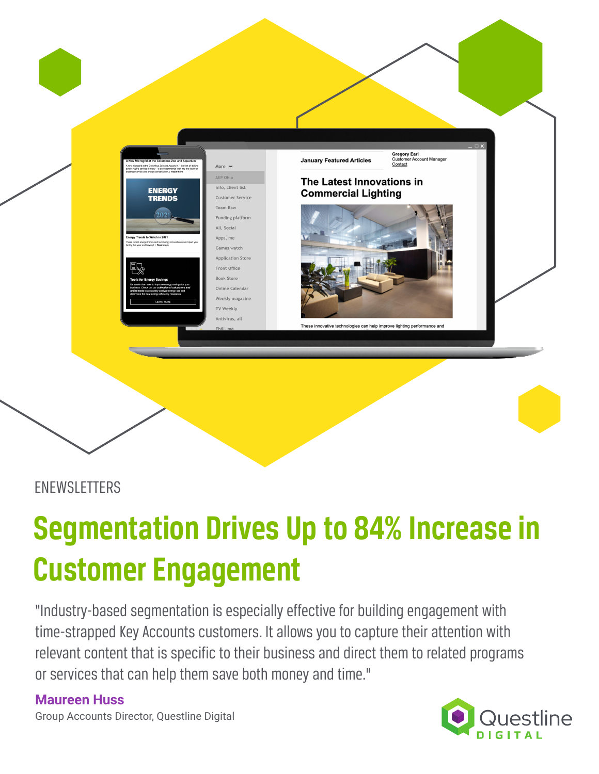

### ENEWSLETTERS

# **Segmentation Drives Up to 84% Increase in Customer Engagement**

"Industry-based segmentation is especially effective for building engagement with time-strapped Key Accounts customers. It allows you to capture their attention with relevant content that is specific to their business and direct them to related programs or services that can help them save both money and time."

### **Maureen Huss**

Group Accounts Director, Questline Digital